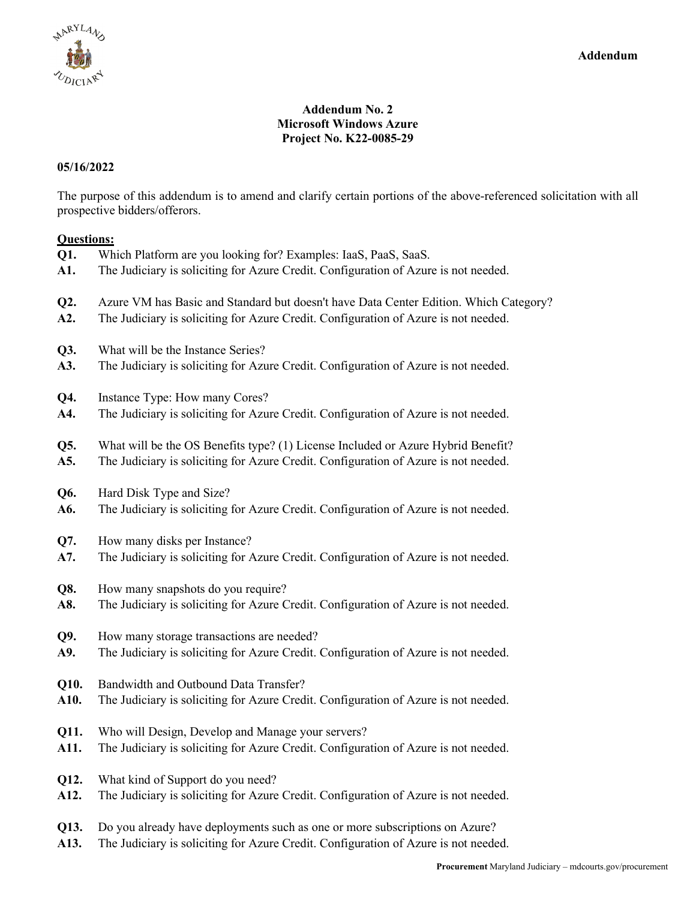

## **Addendum No. 2 Microsoft Windows Azure Project No. K22-0085-29**

## **05/16/2022**

The purpose of this addendum is to amend and clarify certain portions of the above-referenced solicitation with all prospective bidders/offerors.

## **Questions:**

| Q1.  | Which Platform are you looking for? Examples: IaaS, PaaS, SaaS.                       |
|------|---------------------------------------------------------------------------------------|
| A1.  | The Judiciary is soliciting for Azure Credit. Configuration of Azure is not needed.   |
| Q2.  | Azure VM has Basic and Standard but doesn't have Data Center Edition. Which Category? |
| A2.  | The Judiciary is soliciting for Azure Credit. Configuration of Azure is not needed.   |
| Q3.  | What will be the Instance Series?                                                     |
| A3.  | The Judiciary is soliciting for Azure Credit. Configuration of Azure is not needed.   |
| Q4.  | Instance Type: How many Cores?                                                        |
| A4.  | The Judiciary is soliciting for Azure Credit. Configuration of Azure is not needed.   |
| Q5.  | What will be the OS Benefits type? (1) License Included or Azure Hybrid Benefit?      |
| A5.  | The Judiciary is soliciting for Azure Credit. Configuration of Azure is not needed.   |
| Q6.  | Hard Disk Type and Size?                                                              |
| A6.  | The Judiciary is soliciting for Azure Credit. Configuration of Azure is not needed.   |
| Q7.  | How many disks per Instance?                                                          |
| A7.  | The Judiciary is soliciting for Azure Credit. Configuration of Azure is not needed.   |
| Q8.  | How many snapshots do you require?                                                    |
| A8.  | The Judiciary is soliciting for Azure Credit. Configuration of Azure is not needed.   |
| Q9.  | How many storage transactions are needed?                                             |
| A9.  | The Judiciary is soliciting for Azure Credit. Configuration of Azure is not needed.   |
| Q10. | Bandwidth and Outbound Data Transfer?                                                 |
| A10. | The Judiciary is soliciting for Azure Credit. Configuration of Azure is not needed.   |
| Q11. | Who will Design, Develop and Manage your servers?                                     |
| A11. | The Judiciary is soliciting for Azure Credit. Configuration of Azure is not needed.   |
| Q12. | What kind of Support do you need?                                                     |
| A12. | The Judiciary is soliciting for Azure Credit. Configuration of Azure is not needed.   |
| Q13. | Do you already have deployments such as one or more subscriptions on Azure?           |
| A13. | The Judiciary is soliciting for Azure Credit. Configuration of Azure is not needed.   |